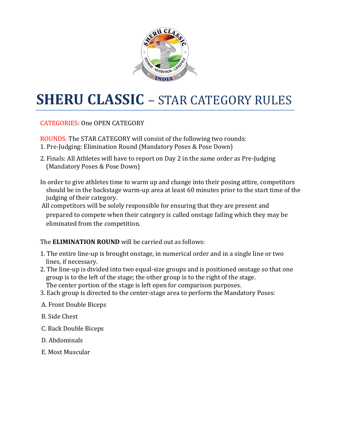

# **SHERU CLASSIC** – STAR CATEGORY RULES

CATEGORIES: One OPEN CATEGORY

ROUNDS: The STAR CATEGORY will consist of the following two rounds:

- 1. Pre-Judging: Elimination Round (Mandatory Poses & Pose Down)
- 2. Finals: All Athletes will have to report on Day 2 in the same order as Pre-Judging (Mandatory Poses & Pose Down)
- In order to give athletes time to warm up and change into their posing attire, competitors should be in the backstage warm-up area at least 60 minutes prior to the start time of the judging of their category.
- All competitors will be solely responsible for ensuring that they are present and prepared to compete when their category is called onstage failing which they may be eliminated from the competition.

#### The **ELIMINATION ROUND** will be carried out as follows:

- 1. The entire line-up is brought onstage, in numerical order and in a single line or two lines, if necessary.
- 2. The line-up is divided into two equal-size groups and is positioned onstage so that one group is to the left of the stage; the other group is to the right of the stage. The center portion of the stage is left open for comparison purposes.
- 3. Each group is directed to the center-stage area to perform the Mandatory Poses:
- A. Front Double Biceps
- B. Side Chest
- C. Back Double Biceps
- D. Abdominals
- E. Most Muscular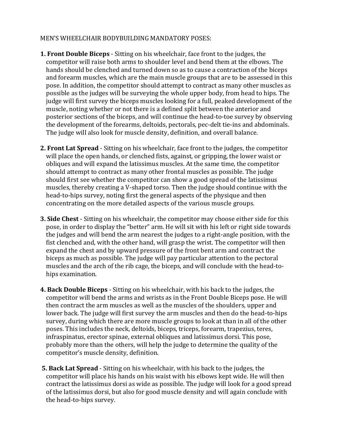#### MEN'S WHEELCHAIR BODYBUILDING MANDATORY POSES:

- **1. Front Double Biceps** Sitting on his wheelchair, face front to the judges, the competitor will raise both arms to shoulder level and bend them at the elbows. The hands should be clenched and turned down so as to cause a contraction of the biceps and forearm muscles, which are the main muscle groups that are to be assessed in this pose. In addition, the competitor should attempt to contract as many other muscles as possible as the judges will be surveying the whole upper body, from head to hips. The judge will first survey the biceps muscles looking for a full, peaked development of the muscle, noting whether or not there is a defined split between the anterior and posterior sections of the biceps, and will continue the head-to-toe survey by observing the development of the forearms, deltoids, pectorals, pec-delt tie-ins and abdominals. The judge will also look for muscle density, definition, and overall balance.
- **2. Front Lat Spread** Sitting on his wheelchair, face front to the judges, the competitor will place the open hands, or clenched fists, against, or gripping, the lower waist or obliques and will expand the latissimus muscles. At the same time, the competitor should attempt to contract as many other frontal muscles as possible. The judge should first see whether the competitor can show a good spread of the latissimus muscles, thereby creating a V-shaped torso. Then the judge should continue with the head-to-hips survey, noting first the general aspects of the physique and then concentrating on the more detailed aspects of the various muscle groups.
- **3. Side Chest** Sitting on his wheelchair, the competitor may choose either side for this pose, in order to display the "better" arm. He will sit with his left or right side towards the judges and will bend the arm nearest the judges to a right-angle position, with the fist clenched and, with the other hand, will grasp the wrist. The competitor will then expand the chest and by upward pressure of the front bent arm and contract the biceps as much as possible. The judge will pay particular attention to the pectoral muscles and the arch of the rib cage, the biceps, and will conclude with the head-tohips examination.
- **4. Back Double Biceps** Sitting on his wheelchair, with his back to the judges, the competitor will bend the arms and wrists as in the Front Double Biceps pose. He will then contract the arm muscles as well as the muscles of the shoulders, upper and lower back. The judge will first survey the arm muscles and then do the head-to-hips survey, during which there are more muscle groups to look at than in all of the other poses. This includes the neck, deltoids, biceps, triceps, forearm, trapezius, teres, infraspinatus, erector spinae, external obliques and latissimus dorsi. This pose, probably more than the others, will help the judge to determine the quality of the competitor's muscle density, definition.
- **5. Back Lat Spread** Sitting on his wheelchair, with his back to the judges, the competitor will place his hands on his waist with his elbows kept wide. He will then contract the latissimus dorsi as wide as possible. The judge will look for a good spread of the latissimus dorsi, but also for good muscle density and will again conclude with the head-to-hips survey.